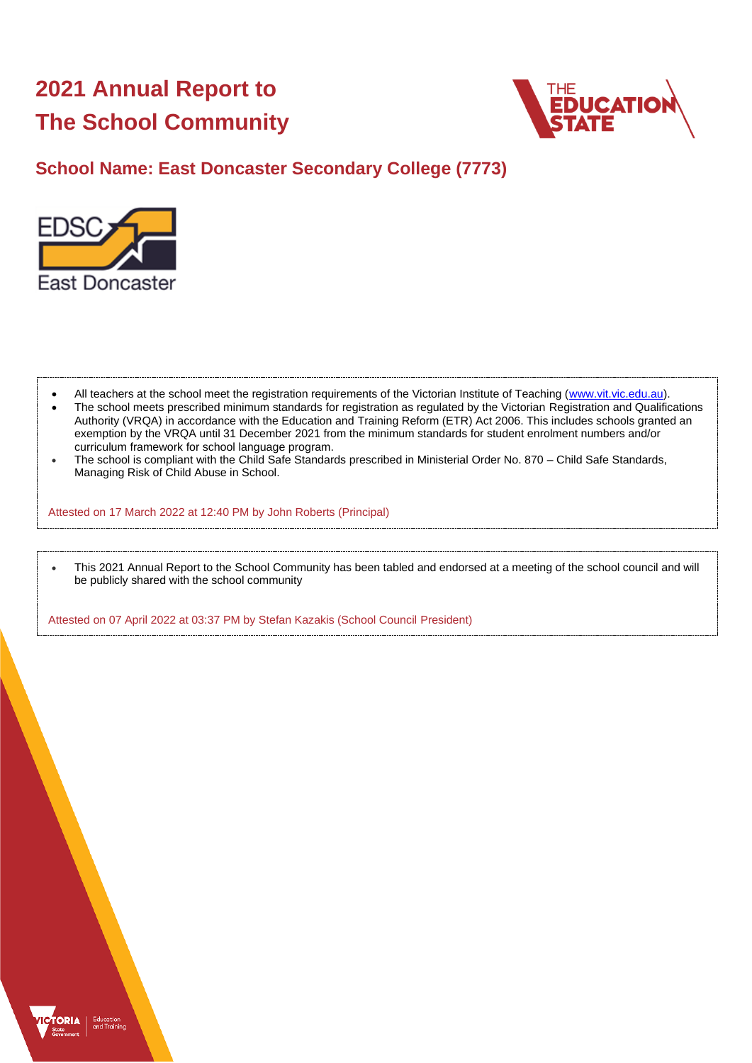# **2021 Annual Report to The School Community**



## **School Name: East Doncaster Secondary College (7773)**



- All teachers at the school meet the registration requirements of the Victorian Institute of Teaching [\(www.vit.vic.edu.au\)](https://www.vit.vic.edu.au/).
- The school meets prescribed minimum standards for registration as regulated by the Victorian Registration and Qualifications Authority (VRQA) in accordance with the Education and Training Reform (ETR) Act 2006. This includes schools granted an exemption by the VRQA until 31 December 2021 from the minimum standards for student enrolment numbers and/or curriculum framework for school language program.
- The school is compliant with the Child Safe Standards prescribed in Ministerial Order No. 870 Child Safe Standards, Managing Risk of Child Abuse in School.

Attested on 17 March 2022 at 12:40 PM by John Roberts (Principal)

• This 2021 Annual Report to the School Community has been tabled and endorsed at a meeting of the school council and will be publicly shared with the school community

Attested on 07 April 2022 at 03:37 PM by Stefan Kazakis (School Council President)

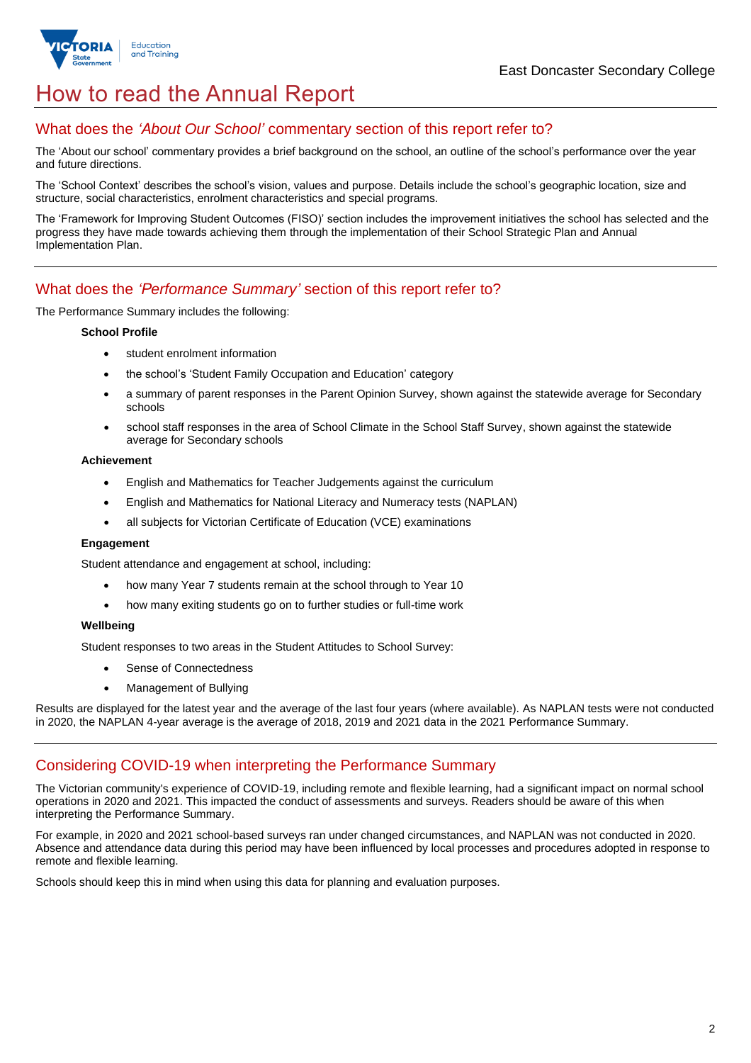

## How to read the Annual Report

## What does the *'About Our School'* commentary section of this report refer to?

The 'About our school' commentary provides a brief background on the school, an outline of the school's performance over the year and future directions.

The 'School Context' describes the school's vision, values and purpose. Details include the school's geographic location, size and structure, social characteristics, enrolment characteristics and special programs.

The 'Framework for Improving Student Outcomes (FISO)' section includes the improvement initiatives the school has selected and the progress they have made towards achieving them through the implementation of their School Strategic Plan and Annual Implementation Plan.

## What does the *'Performance Summary'* section of this report refer to?

The Performance Summary includes the following:

#### **School Profile**

- student enrolment information
- the school's 'Student Family Occupation and Education' category
- a summary of parent responses in the Parent Opinion Survey, shown against the statewide average for Secondary schools
- school staff responses in the area of School Climate in the School Staff Survey, shown against the statewide average for Secondary schools

#### **Achievement**

- English and Mathematics for Teacher Judgements against the curriculum
- English and Mathematics for National Literacy and Numeracy tests (NAPLAN)
- all subjects for Victorian Certificate of Education (VCE) examinations

#### **Engagement**

Student attendance and engagement at school, including:

- how many Year 7 students remain at the school through to Year 10
- how many exiting students go on to further studies or full-time work

#### **Wellbeing**

Student responses to two areas in the Student Attitudes to School Survey:

- Sense of Connectedness
- Management of Bullying

Results are displayed for the latest year and the average of the last four years (where available). As NAPLAN tests were not conducted in 2020, the NAPLAN 4-year average is the average of 2018, 2019 and 2021 data in the 2021 Performance Summary.

## Considering COVID-19 when interpreting the Performance Summary

The Victorian community's experience of COVID-19, including remote and flexible learning, had a significant impact on normal school operations in 2020 and 2021. This impacted the conduct of assessments and surveys. Readers should be aware of this when interpreting the Performance Summary.

For example, in 2020 and 2021 school-based surveys ran under changed circumstances, and NAPLAN was not conducted in 2020. Absence and attendance data during this period may have been influenced by local processes and procedures adopted in response to remote and flexible learning.

Schools should keep this in mind when using this data for planning and evaluation purposes.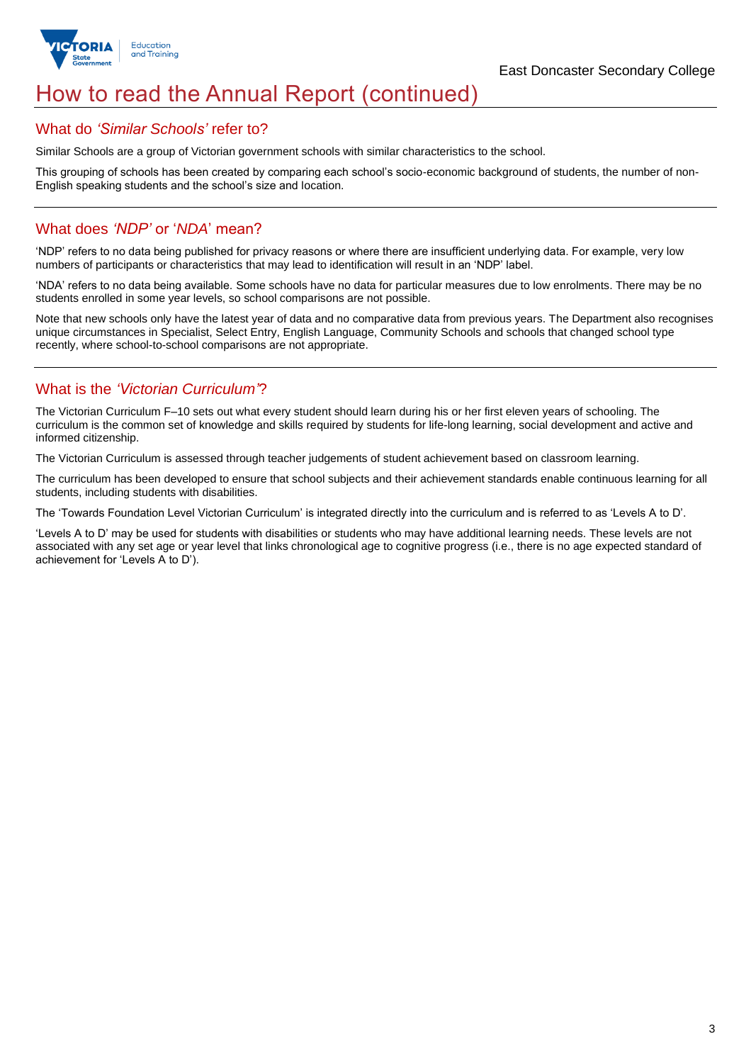

## How to read the Annual Report (continued)

### What do *'Similar Schools'* refer to?

Similar Schools are a group of Victorian government schools with similar characteristics to the school.

This grouping of schools has been created by comparing each school's socio-economic background of students, the number of non-English speaking students and the school's size and location.

## What does *'NDP'* or '*NDA*' mean?

'NDP' refers to no data being published for privacy reasons or where there are insufficient underlying data. For example, very low numbers of participants or characteristics that may lead to identification will result in an 'NDP' label.

'NDA' refers to no data being available. Some schools have no data for particular measures due to low enrolments. There may be no students enrolled in some year levels, so school comparisons are not possible.

Note that new schools only have the latest year of data and no comparative data from previous years. The Department also recognises unique circumstances in Specialist, Select Entry, English Language, Community Schools and schools that changed school type recently, where school-to-school comparisons are not appropriate.

## What is the *'Victorian Curriculum'*?

The Victorian Curriculum F–10 sets out what every student should learn during his or her first eleven years of schooling. The curriculum is the common set of knowledge and skills required by students for life-long learning, social development and active and informed citizenship.

The Victorian Curriculum is assessed through teacher judgements of student achievement based on classroom learning.

The curriculum has been developed to ensure that school subjects and their achievement standards enable continuous learning for all students, including students with disabilities.

The 'Towards Foundation Level Victorian Curriculum' is integrated directly into the curriculum and is referred to as 'Levels A to D'.

'Levels A to D' may be used for students with disabilities or students who may have additional learning needs. These levels are not associated with any set age or year level that links chronological age to cognitive progress (i.e., there is no age expected standard of achievement for 'Levels A to D').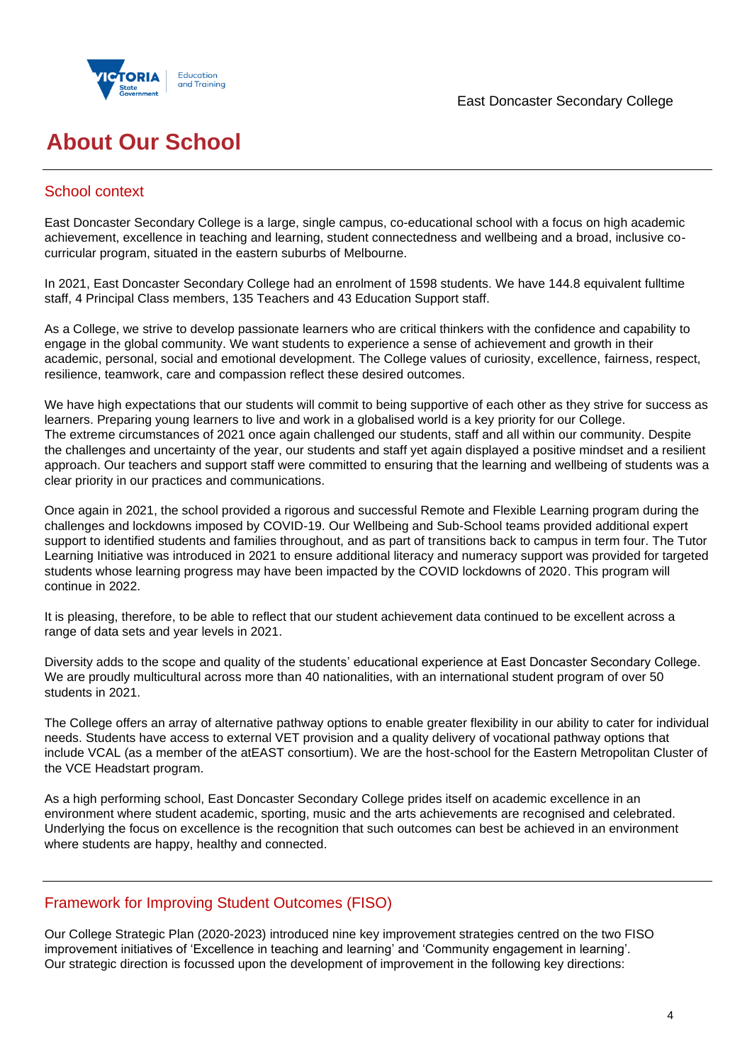

## **About Our School**

## School context

East Doncaster Secondary College is a large, single campus, co-educational school with a focus on high academic achievement, excellence in teaching and learning, student connectedness and wellbeing and a broad, inclusive cocurricular program, situated in the eastern suburbs of Melbourne.

In 2021, East Doncaster Secondary College had an enrolment of 1598 students. We have 144.8 equivalent fulltime staff, 4 Principal Class members, 135 Teachers and 43 Education Support staff.

As a College, we strive to develop passionate learners who are critical thinkers with the confidence and capability to engage in the global community. We want students to experience a sense of achievement and growth in their academic, personal, social and emotional development. The College values of curiosity, excellence, fairness, respect, resilience, teamwork, care and compassion reflect these desired outcomes.

We have high expectations that our students will commit to being supportive of each other as they strive for success as learners. Preparing young learners to live and work in a globalised world is a key priority for our College. The extreme circumstances of 2021 once again challenged our students, staff and all within our community. Despite the challenges and uncertainty of the year, our students and staff yet again displayed a positive mindset and a resilient approach. Our teachers and support staff were committed to ensuring that the learning and wellbeing of students was a clear priority in our practices and communications.

Once again in 2021, the school provided a rigorous and successful Remote and Flexible Learning program during the challenges and lockdowns imposed by COVID-19. Our Wellbeing and Sub-School teams provided additional expert support to identified students and families throughout, and as part of transitions back to campus in term four. The Tutor Learning Initiative was introduced in 2021 to ensure additional literacy and numeracy support was provided for targeted students whose learning progress may have been impacted by the COVID lockdowns of 2020. This program will continue in 2022.

It is pleasing, therefore, to be able to reflect that our student achievement data continued to be excellent across a range of data sets and year levels in 2021.

Diversity adds to the scope and quality of the students' educational experience at East Doncaster Secondary College. We are proudly multicultural across more than 40 nationalities, with an international student program of over 50 students in 2021.

The College offers an array of alternative pathway options to enable greater flexibility in our ability to cater for individual needs. Students have access to external VET provision and a quality delivery of vocational pathway options that include VCAL (as a member of the atEAST consortium). We are the host-school for the Eastern Metropolitan Cluster of the VCE Headstart program.

As a high performing school, East Doncaster Secondary College prides itself on academic excellence in an environment where student academic, sporting, music and the arts achievements are recognised and celebrated. Underlying the focus on excellence is the recognition that such outcomes can best be achieved in an environment where students are happy, healthy and connected.

## Framework for Improving Student Outcomes (FISO)

Our College Strategic Plan (2020-2023) introduced nine key improvement strategies centred on the two FISO improvement initiatives of 'Excellence in teaching and learning' and 'Community engagement in learning'. Our strategic direction is focussed upon the development of improvement in the following key directions: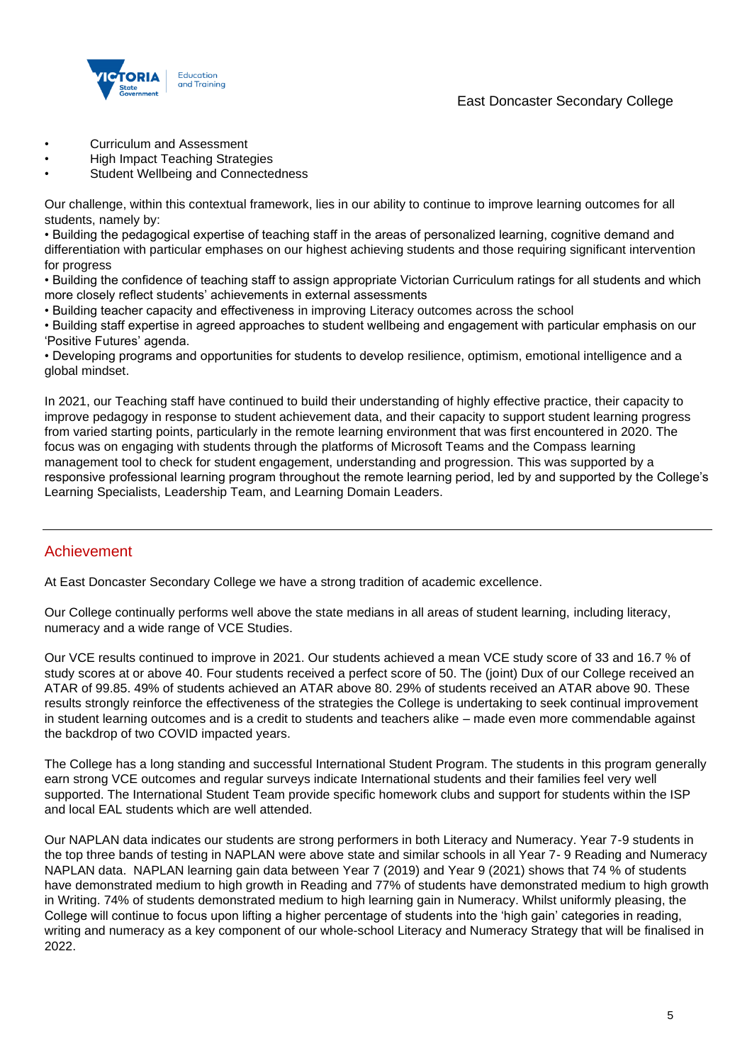

- Curriculum and Assessment
- High Impact Teaching Strategies
- Student Wellbeing and Connectedness

Our challenge, within this contextual framework, lies in our ability to continue to improve learning outcomes for all students, namely by:

• Building the pedagogical expertise of teaching staff in the areas of personalized learning, cognitive demand and differentiation with particular emphases on our highest achieving students and those requiring significant intervention for progress

• Building the confidence of teaching staff to assign appropriate Victorian Curriculum ratings for all students and which more closely reflect students' achievements in external assessments

• Building teacher capacity and effectiveness in improving Literacy outcomes across the school

• Building staff expertise in agreed approaches to student wellbeing and engagement with particular emphasis on our 'Positive Futures' agenda.

• Developing programs and opportunities for students to develop resilience, optimism, emotional intelligence and a global mindset.

In 2021, our Teaching staff have continued to build their understanding of highly effective practice, their capacity to improve pedagogy in response to student achievement data, and their capacity to support student learning progress from varied starting points, particularly in the remote learning environment that was first encountered in 2020. The focus was on engaging with students through the platforms of Microsoft Teams and the Compass learning management tool to check for student engagement, understanding and progression. This was supported by a responsive professional learning program throughout the remote learning period, led by and supported by the College's Learning Specialists, Leadership Team, and Learning Domain Leaders.

## Achievement

At East Doncaster Secondary College we have a strong tradition of academic excellence.

Our College continually performs well above the state medians in all areas of student learning, including literacy, numeracy and a wide range of VCE Studies.

Our VCE results continued to improve in 2021. Our students achieved a mean VCE study score of 33 and 16.7 % of study scores at or above 40. Four students received a perfect score of 50. The (joint) Dux of our College received an ATAR of 99.85. 49% of students achieved an ATAR above 80. 29% of students received an ATAR above 90. These results strongly reinforce the effectiveness of the strategies the College is undertaking to seek continual improvement in student learning outcomes and is a credit to students and teachers alike – made even more commendable against the backdrop of two COVID impacted years.

The College has a long standing and successful International Student Program. The students in this program generally earn strong VCE outcomes and regular surveys indicate International students and their families feel very well supported. The International Student Team provide specific homework clubs and support for students within the ISP and local EAL students which are well attended.

Our NAPLAN data indicates our students are strong performers in both Literacy and Numeracy. Year 7-9 students in the top three bands of testing in NAPLAN were above state and similar schools in all Year 7- 9 Reading and Numeracy NAPLAN data. NAPLAN learning gain data between Year 7 (2019) and Year 9 (2021) shows that 74 % of students have demonstrated medium to high growth in Reading and 77% of students have demonstrated medium to high growth in Writing. 74% of students demonstrated medium to high learning gain in Numeracy. Whilst uniformly pleasing, the College will continue to focus upon lifting a higher percentage of students into the 'high gain' categories in reading, writing and numeracy as a key component of our whole-school Literacy and Numeracy Strategy that will be finalised in 2022.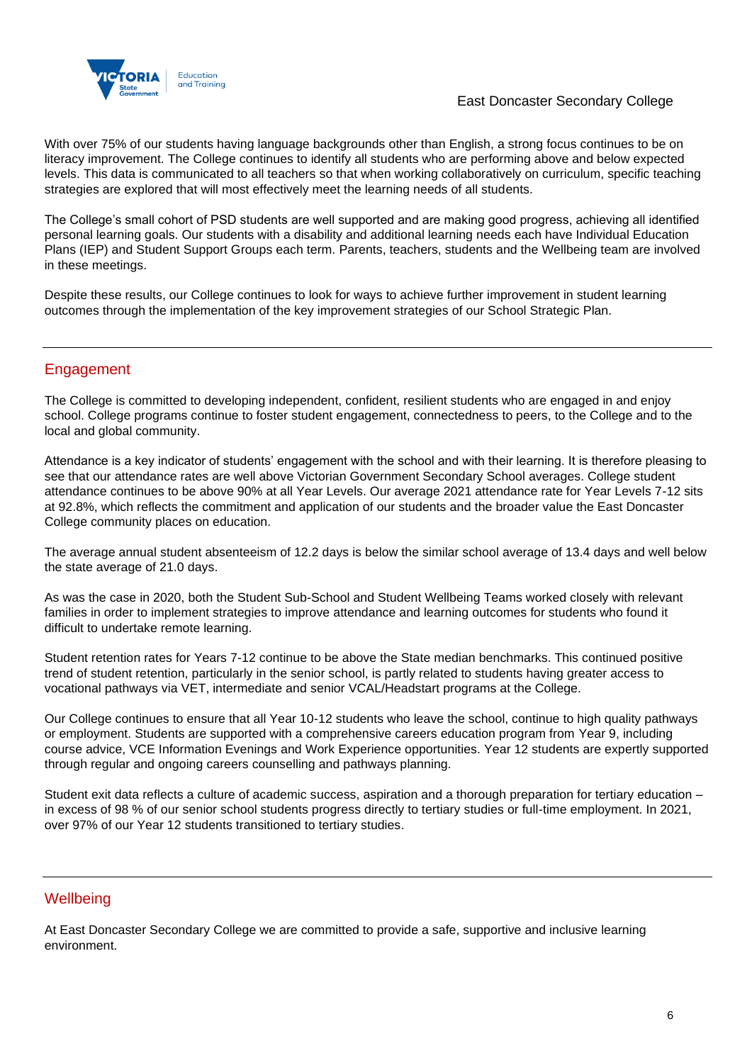

With over 75% of our students having language backgrounds other than English, a strong focus continues to be on literacy improvement. The College continues to identify all students who are performing above and below expected levels. This data is communicated to all teachers so that when working collaboratively on curriculum, specific teaching strategies are explored that will most effectively meet the learning needs of all students.

The College's small cohort of PSD students are well supported and are making good progress, achieving all identified personal learning goals. Our students with a disability and additional learning needs each have Individual Education Plans (IEP) and Student Support Groups each term. Parents, teachers, students and the Wellbeing team are involved in these meetings.

Despite these results, our College continues to look for ways to achieve further improvement in student learning outcomes through the implementation of the key improvement strategies of our School Strategic Plan.

## Engagement

The College is committed to developing independent, confident, resilient students who are engaged in and enjoy school. College programs continue to foster student engagement, connectedness to peers, to the College and to the local and global community.

Attendance is a key indicator of students' engagement with the school and with their learning. It is therefore pleasing to see that our attendance rates are well above Victorian Government Secondary School averages. College student attendance continues to be above 90% at all Year Levels. Our average 2021 attendance rate for Year Levels 7-12 sits at 92.8%, which reflects the commitment and application of our students and the broader value the East Doncaster College community places on education.

The average annual student absenteeism of 12.2 days is below the similar school average of 13.4 days and well below the state average of 21.0 days.

As was the case in 2020, both the Student Sub-School and Student Wellbeing Teams worked closely with relevant families in order to implement strategies to improve attendance and learning outcomes for students who found it difficult to undertake remote learning.

Student retention rates for Years 7-12 continue to be above the State median benchmarks. This continued positive trend of student retention, particularly in the senior school, is partly related to students having greater access to vocational pathways via VET, intermediate and senior VCAL/Headstart programs at the College.

Our College continues to ensure that all Year 10-12 students who leave the school, continue to high quality pathways or employment. Students are supported with a comprehensive careers education program from Year 9, including course advice, VCE Information Evenings and Work Experience opportunities. Year 12 students are expertly supported through regular and ongoing careers counselling and pathways planning.

Student exit data reflects a culture of academic success, aspiration and a thorough preparation for tertiary education – in excess of 98 % of our senior school students progress directly to tertiary studies or full-time employment. In 2021, over 97% of our Year 12 students transitioned to tertiary studies.

## **Wellbeing**

At East Doncaster Secondary College we are committed to provide a safe, supportive and inclusive learning environment.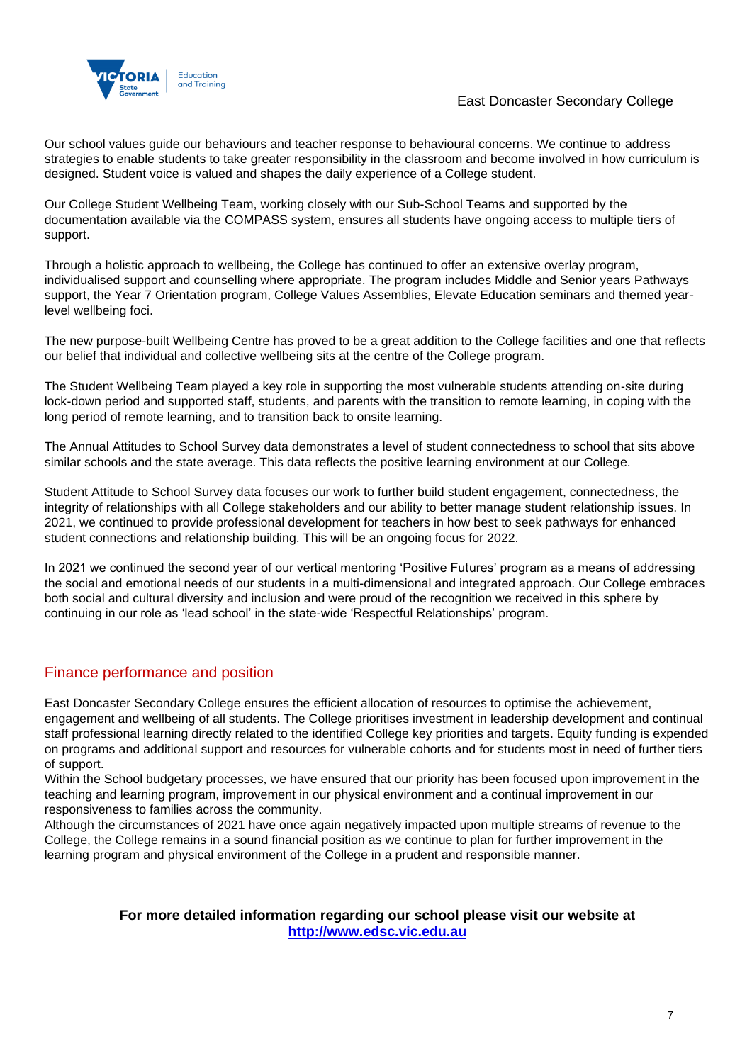

Our school values guide our behaviours and teacher response to behavioural concerns. We continue to address strategies to enable students to take greater responsibility in the classroom and become involved in how curriculum is designed. Student voice is valued and shapes the daily experience of a College student.

Our College Student Wellbeing Team, working closely with our Sub-School Teams and supported by the documentation available via the COMPASS system, ensures all students have ongoing access to multiple tiers of support.

Through a holistic approach to wellbeing, the College has continued to offer an extensive overlay program, individualised support and counselling where appropriate. The program includes Middle and Senior years Pathways support, the Year 7 Orientation program, College Values Assemblies, Elevate Education seminars and themed yearlevel wellbeing foci.

The new purpose-built Wellbeing Centre has proved to be a great addition to the College facilities and one that reflects our belief that individual and collective wellbeing sits at the centre of the College program.

The Student Wellbeing Team played a key role in supporting the most vulnerable students attending on-site during lock-down period and supported staff, students, and parents with the transition to remote learning, in coping with the long period of remote learning, and to transition back to onsite learning.

The Annual Attitudes to School Survey data demonstrates a level of student connectedness to school that sits above similar schools and the state average. This data reflects the positive learning environment at our College.

Student Attitude to School Survey data focuses our work to further build student engagement, connectedness, the integrity of relationships with all College stakeholders and our ability to better manage student relationship issues. In 2021, we continued to provide professional development for teachers in how best to seek pathways for enhanced student connections and relationship building. This will be an ongoing focus for 2022.

In 2021 we continued the second year of our vertical mentoring 'Positive Futures' program as a means of addressing the social and emotional needs of our students in a multi-dimensional and integrated approach. Our College embraces both social and cultural diversity and inclusion and were proud of the recognition we received in this sphere by continuing in our role as 'lead school' in the state-wide 'Respectful Relationships' program.

## Finance performance and position

East Doncaster Secondary College ensures the efficient allocation of resources to optimise the achievement, engagement and wellbeing of all students. The College prioritises investment in leadership development and continual staff professional learning directly related to the identified College key priorities and targets. Equity funding is expended on programs and additional support and resources for vulnerable cohorts and for students most in need of further tiers of support.

Within the School budgetary processes, we have ensured that our priority has been focused upon improvement in the teaching and learning program, improvement in our physical environment and a continual improvement in our responsiveness to families across the community.

Although the circumstances of 2021 have once again negatively impacted upon multiple streams of revenue to the College, the College remains in a sound financial position as we continue to plan for further improvement in the learning program and physical environment of the College in a prudent and responsible manner.

### **For more detailed information regarding our school please visit our website at [http://www.edsc.vic.edu.au](http://www.edsc.vic.edu.au/)**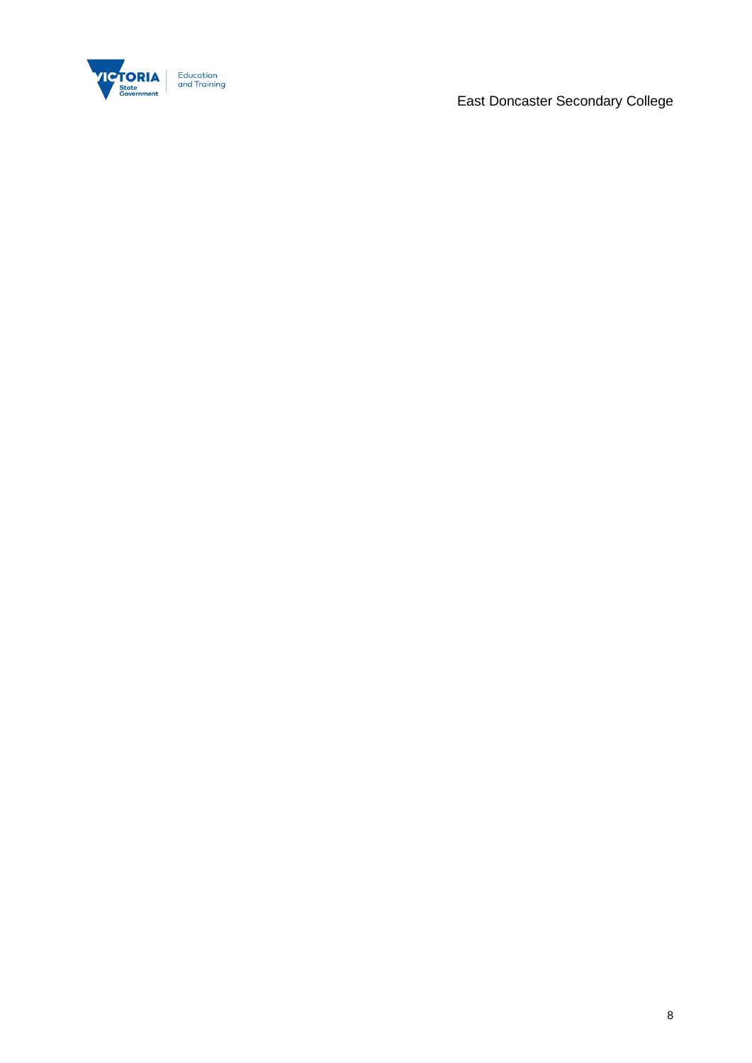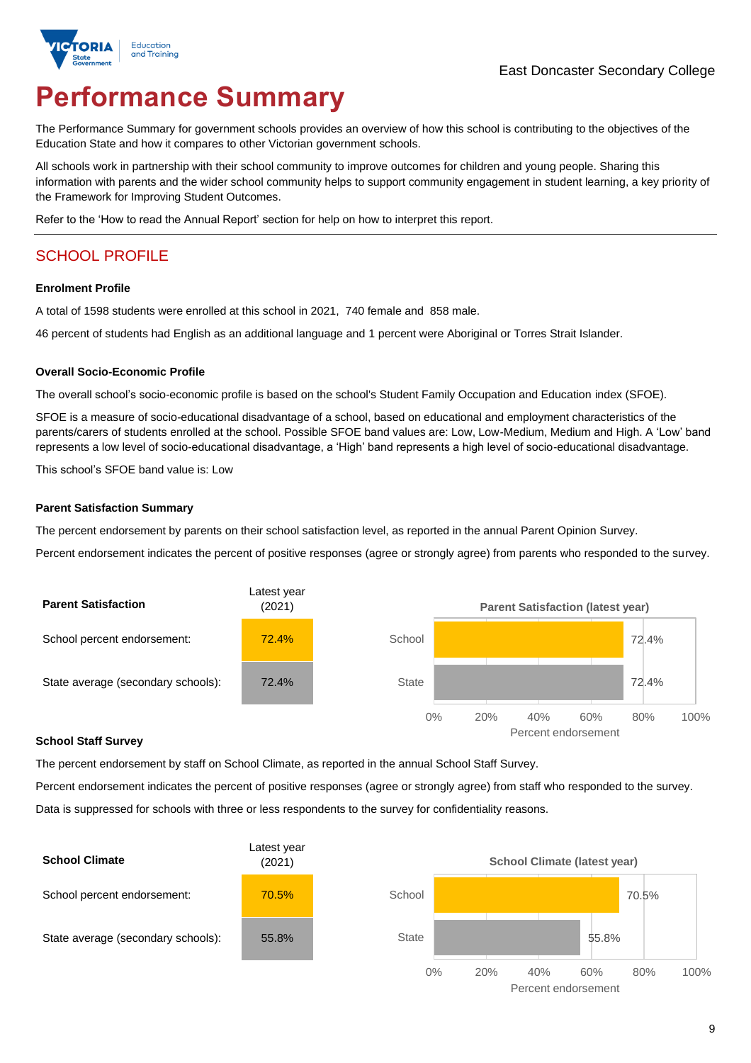

# **Performance Summary**

The Performance Summary for government schools provides an overview of how this school is contributing to the objectives of the Education State and how it compares to other Victorian government schools.

All schools work in partnership with their school community to improve outcomes for children and young people. Sharing this information with parents and the wider school community helps to support community engagement in student learning, a key priority of the Framework for Improving Student Outcomes.

Refer to the 'How to read the Annual Report' section for help on how to interpret this report.

## SCHOOL PROFILE

#### **Enrolment Profile**

A total of 1598 students were enrolled at this school in 2021, 740 female and 858 male.

46 percent of students had English as an additional language and 1 percent were Aboriginal or Torres Strait Islander.

#### **Overall Socio-Economic Profile**

The overall school's socio-economic profile is based on the school's Student Family Occupation and Education index (SFOE).

SFOE is a measure of socio-educational disadvantage of a school, based on educational and employment characteristics of the parents/carers of students enrolled at the school. Possible SFOE band values are: Low, Low-Medium, Medium and High. A 'Low' band represents a low level of socio-educational disadvantage, a 'High' band represents a high level of socio-educational disadvantage.

This school's SFOE band value is: Low

#### **Parent Satisfaction Summary**

The percent endorsement by parents on their school satisfaction level, as reported in the annual Parent Opinion Survey.

Percent endorsement indicates the percent of positive responses (agree or strongly agree) from parents who responded to the survey.



#### **School Staff Survey**

The percent endorsement by staff on School Climate, as reported in the annual School Staff Survey.

Percent endorsement indicates the percent of positive responses (agree or strongly agree) from staff who responded to the survey. Data is suppressed for schools with three or less respondents to the survey for confidentiality reasons.

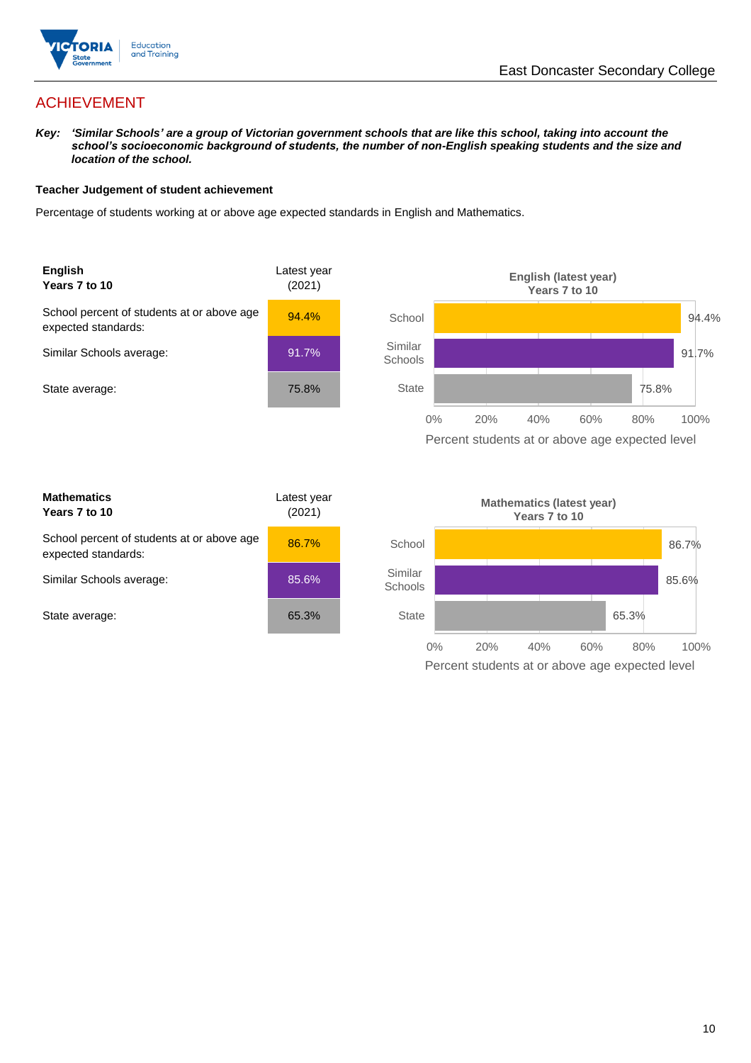

## ACHIEVEMENT

*Key: 'Similar Schools' are a group of Victorian government schools that are like this school, taking into account the school's socioeconomic background of students, the number of non-English speaking students and the size and location of the school.*

#### **Teacher Judgement of student achievement**

Percentage of students working at or above age expected standards in English and Mathematics.



| <b>Mathematics</b><br>Years 7 to 10                               | Latest year<br>(2021) |  |
|-------------------------------------------------------------------|-----------------------|--|
| School percent of students at or above age<br>expected standards: | 86.7%                 |  |
| Similar Schools average:                                          | 85.6%                 |  |
| State average:                                                    | 65.3%                 |  |

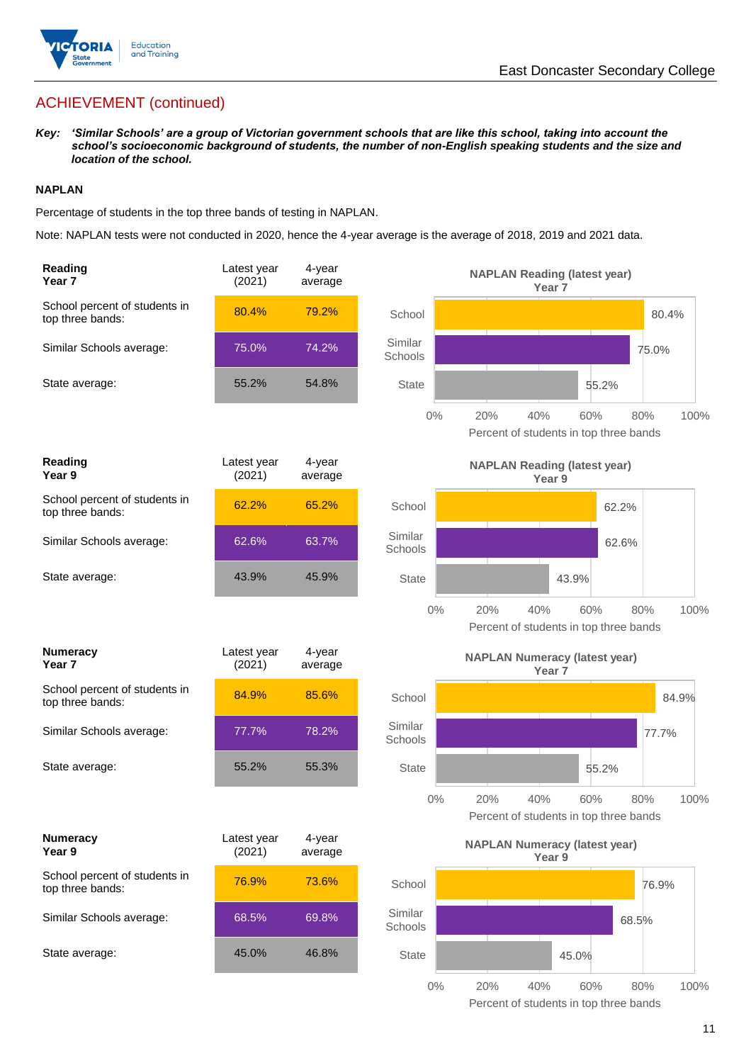

## ACHIEVEMENT (continued)

*Key: 'Similar Schools' are a group of Victorian government schools that are like this school, taking into account the school's socioeconomic background of students, the number of non-English speaking students and the size and location of the school.*

#### **NAPLAN**

Percentage of students in the top three bands of testing in NAPLAN.

Note: NAPLAN tests were not conducted in 2020, hence the 4-year average is the average of 2018, 2019 and 2021 data.

| Reading<br>Year <sub>7</sub>                      | Latest year<br>(2021) | 4-year<br>average | <b>NAPLAN Reading (latest year)</b><br>Year <sub>7</sub>                            |  |  |
|---------------------------------------------------|-----------------------|-------------------|-------------------------------------------------------------------------------------|--|--|
| School percent of students in<br>top three bands: | 80.4%                 | 79.2%             | School<br>80.4%                                                                     |  |  |
| Similar Schools average:                          | 75.0%                 | 74.2%             | Similar<br>75.0%<br>Schools                                                         |  |  |
| State average:                                    | 55.2%                 | 54.8%             | <b>State</b><br>55.2%                                                               |  |  |
|                                                   |                       |                   | 20%<br>40%<br>0%<br>60%<br>80%<br>100%<br>Percent of students in top three bands    |  |  |
| Reading<br>Year 9                                 | Latest year<br>(2021) | 4-year<br>average | <b>NAPLAN Reading (latest year)</b><br>Year 9                                       |  |  |
| School percent of students in<br>top three bands: | 62.2%                 | 65.2%             | School<br>62.2%                                                                     |  |  |
| Similar Schools average:                          | 62.6%                 | 63.7%             | Similar<br>62.6%<br>Schools                                                         |  |  |
| State average:                                    | 43.9%                 | 45.9%             | <b>State</b><br>43.9%                                                               |  |  |
|                                                   |                       |                   | $0\%$<br>100%<br>20%<br>40%<br>60%<br>80%<br>Percent of students in top three bands |  |  |
| <b>Numeracy</b><br>Year 7                         | Latest year<br>(2021) | 4-year<br>average | <b>NAPLAN Numeracy (latest year)</b><br>Year <sub>7</sub>                           |  |  |
| School percent of students in<br>top three bands: | 84.9%                 | 85.6%             | School<br>84.9%                                                                     |  |  |
| Similar Schools average:                          | 77.7%                 | 78.2%             | Similar<br>77.7%<br>Schools                                                         |  |  |
| State average:                                    | 55.2%                 | 55.3%             | <b>State</b><br>55.2%                                                               |  |  |
|                                                   |                       |                   | 40%<br>100%<br>$0\%$<br>20%<br>60%<br>80%<br>Percent of students in top three bands |  |  |
| <b>Numeracy</b><br>Year 9                         | Latest year<br>(2021) | 4-year<br>average | <b>NAPLAN Numeracy (latest year)</b><br>Year 9                                      |  |  |
| School percent of students in<br>top three bands: | 76.9%                 | 73.6%             | School<br>76.9%                                                                     |  |  |
| Similar Schools average:                          | 68.5%                 | 69.8%             | Similar<br>68.5%<br>Schools                                                         |  |  |
| State average:                                    | 45.0%                 | 46.8%             | <b>State</b><br>45.0%                                                               |  |  |
|                                                   |                       |                   | $0\%$<br>20%<br>40%<br>60%<br>80%<br>100%                                           |  |  |

Percent of students in top three bands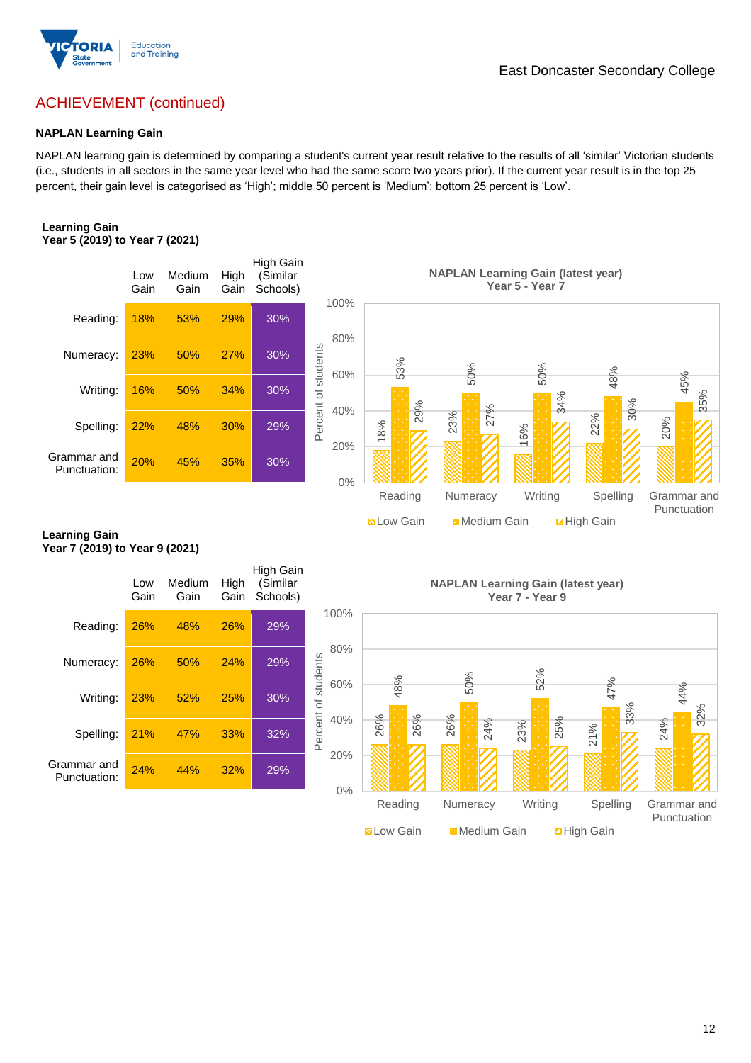

## ACHIEVEMENT (continued)

#### **NAPLAN Learning Gain**

NAPLAN learning gain is determined by comparing a student's current year result relative to the results of all 'similar' Victorian students (i.e., students in all sectors in the same year level who had the same score two years prior). If the current year result is in the top 25 percent, their gain level is categorised as 'High'; middle 50 percent is 'Medium'; bottom 25 percent is 'Low'.

#### **Learning Gain Year 5 (2019) to Year 7 (2021)**



#### **Learning Gain Year 7 (2019) to Year 9 (2021)**

| Spelling:                                              | 22%         | 48%            | 30%          | 29%                               | Perce<br>10/10<br>20%      | $\stackrel{\rm o}{\scriptstyle\sim}$<br>18% | 23%<br>$\overline{27}$                    | 16%             | 22%<br>$\breve{\sigma}$ | 20%                        |
|--------------------------------------------------------|-------------|----------------|--------------|-----------------------------------|----------------------------|---------------------------------------------|-------------------------------------------|-----------------|-------------------------|----------------------------|
| Grammar and<br>Punctuation:                            | 20%         | 45%            | 35%          | 30%                               | $0\%$                      |                                             |                                           |                 |                         |                            |
|                                                        |             |                |              |                                   |                            | Reading                                     | Numeracy                                  | Writing         | Spelling                | Grammar and<br>Punctuation |
| <b>Learning Gain</b><br>Year 7 (2019) to Year 9 (2021) |             |                |              |                                   |                            | <b>N</b> Low Gain                           | Medium Gain                               |                 | <b>Z</b> High Gain      |                            |
|                                                        | Low<br>Gain | Medium<br>Gain | High<br>Gain | High Gain<br>(Similar<br>Schools) |                            |                                             | <b>NAPLAN Learning Gain (latest year)</b> | Year 7 - Year 9 |                         |                            |
| Reading:                                               | 26%         | 48%            | 26%          | 29%                               | 100%                       |                                             |                                           |                 |                         |                            |
| Numeracy:                                              | 26%         | 50%            | 24%          | 29%                               | 80%                        |                                             | 50%                                       | 52%             |                         |                            |
| Writing:                                               | 23%         | 52%            | 25%          | 30%                               | 60%                        | 48%                                         |                                           |                 | 47%<br>33%              | 44%<br>32%                 |
| Spelling:                                              | 21%         | 47%            | 33%          | 32%                               | Percent of students<br>40% | 26%<br>26%                                  | 26%<br>24%                                | 25%<br>23%      | 21%                     | 24%                        |
| Grammar and<br>Punctuation:                            | 24%         | 44%            | 32%          | 29%                               | 20%<br>$0\%$               |                                             |                                           |                 |                         |                            |
|                                                        |             |                |              |                                   |                            | Reading                                     | Numeracy                                  | Writing         | Spelling                | Grammar and<br>Punctuation |
|                                                        |             |                |              |                                   |                            | <b>SLow Gain</b>                            | Medium Gain                               |                 | <b>D</b> High Gain      |                            |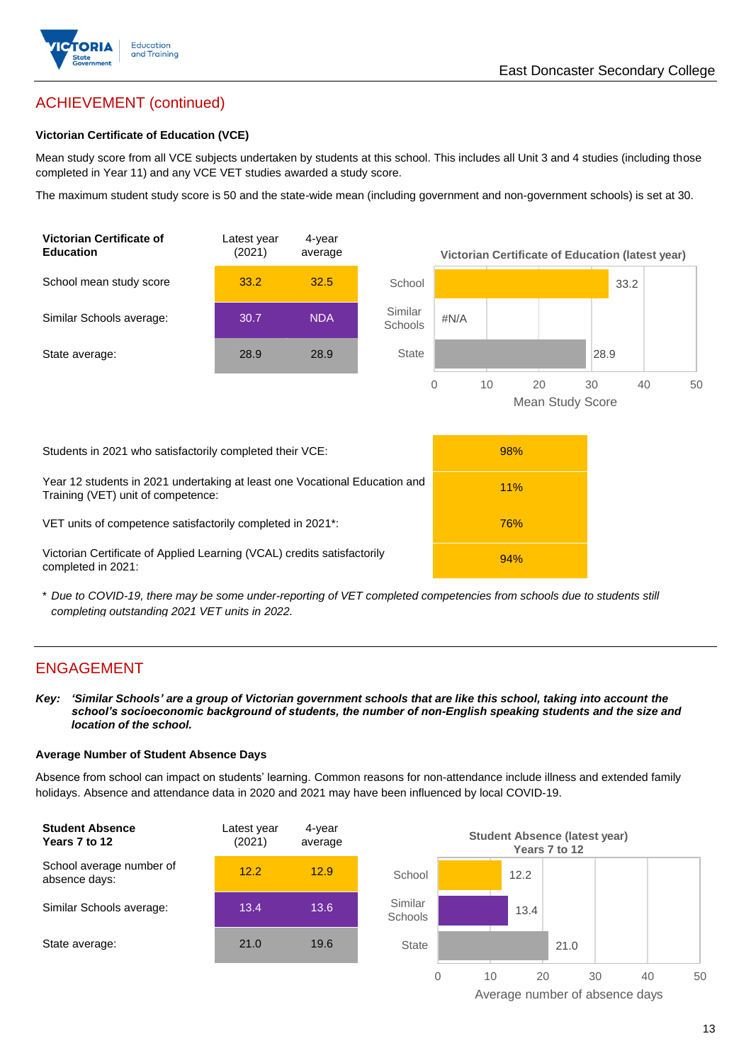

## ACHIEVEMENT (continued)

#### **Victorian Certificate of Education (VCE)**

Mean study score from all VCE subjects undertaken by students at this school. This includes all Unit 3 and 4 studies (including those completed in Year 11) and any VCE VET studies awarded a study score.

The maximum student study score is 50 and the state-wide mean (including government and non-government schools) is set at 30.



\* *Due to COVID-19, there may be some under-reporting of VET completed competencies from schools due to students still completing outstanding 2021 VET units in 2022.*

## ENGAGEMENT

*Key: 'Similar Schools' are a group of Victorian government schools that are like this school, taking into account the school's socioeconomic background of students, the number of non-English speaking students and the size and location of the school.*

#### **Average Number of Student Absence Days**

Absence from school can impact on students' learning. Common reasons for non-attendance include illness and extended family holidays. Absence and attendance data in 2020 and 2021 may have been influenced by local COVID-19.



Average number of absence days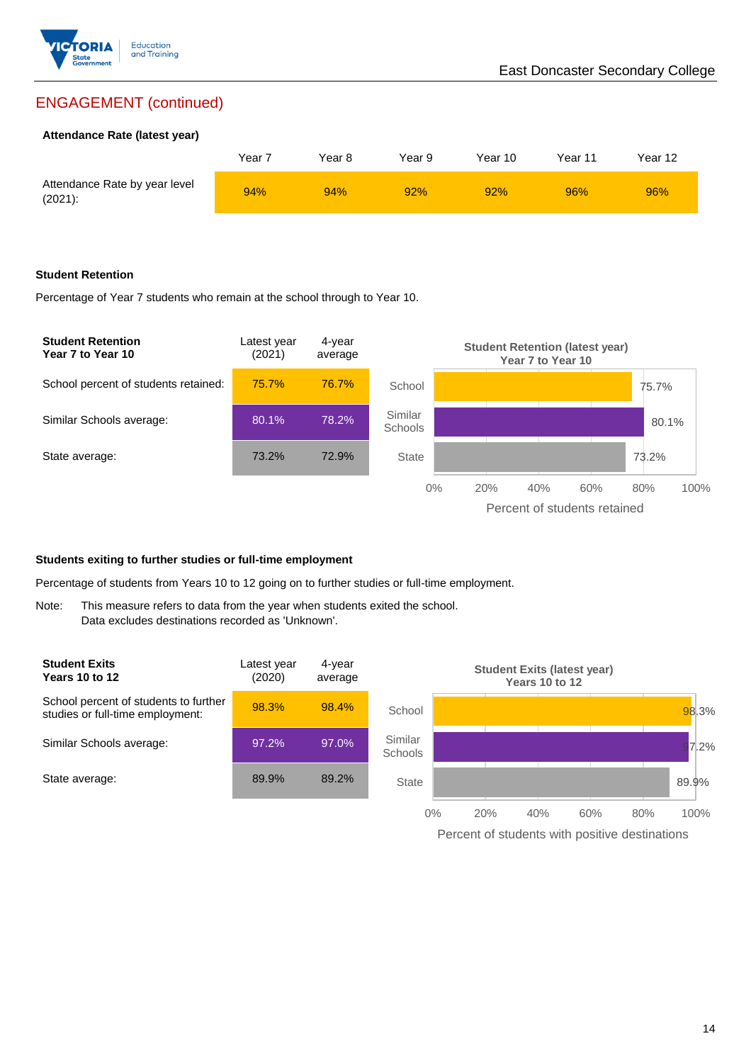

## ENGAGEMENT (continued)

#### **Attendance Rate (latest year)**

|                                             | Year 7 | Year 8 | Year 9 | Year 10 | Year 11 | Year 12 |
|---------------------------------------------|--------|--------|--------|---------|---------|---------|
| Attendance Rate by year level<br>$(2021)$ : | 94%    | 94%    | 92%    | 92%     | 96%     | 96%     |

#### **Student Retention**

Percentage of Year 7 students who remain at the school through to Year 10.



#### **Students exiting to further studies or full-time employment**

Percentage of students from Years 10 to 12 going on to further studies or full-time employment.

Note: This measure refers to data from the year when students exited the school. Data excludes destinations recorded as 'Unknown'.



Percent of students with positive destinations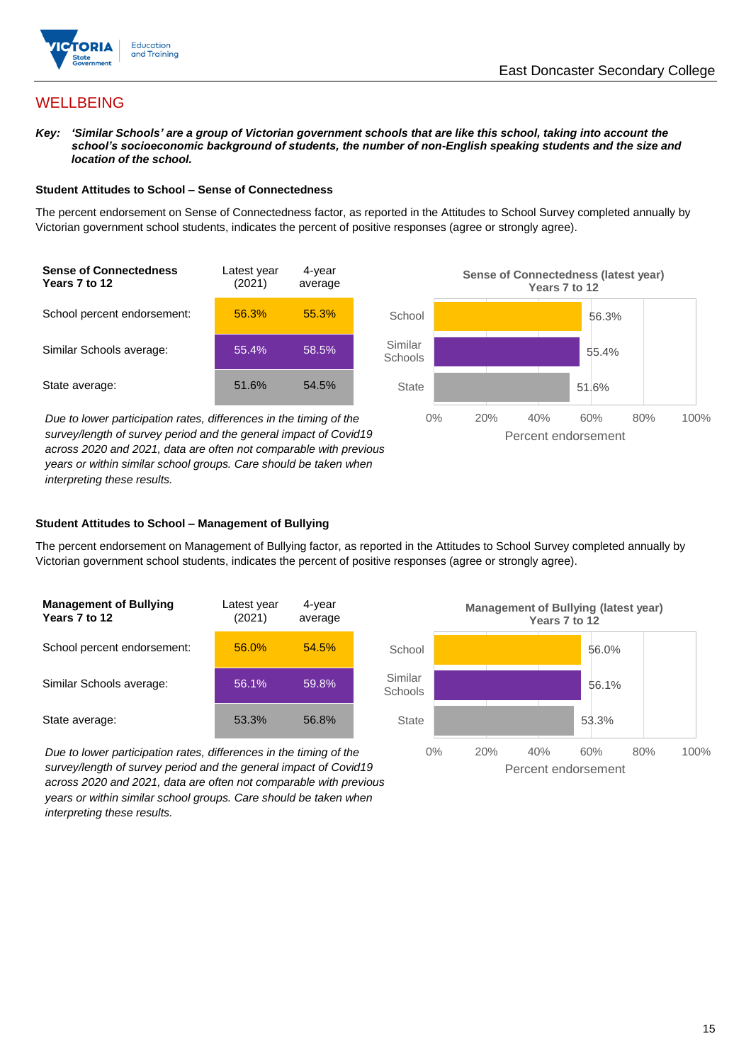

## **WELLBEING**

*Key: 'Similar Schools' are a group of Victorian government schools that are like this school, taking into account the school's socioeconomic background of students, the number of non-English speaking students and the size and location of the school.*

#### **Student Attitudes to School – Sense of Connectedness**

The percent endorsement on Sense of Connectedness factor, as reported in the Attitudes to School Survey completed annually by Victorian government school students, indicates the percent of positive responses (agree or strongly agree).



*Due to lower participation rates, differences in the timing of the survey/length of survey period and the general impact of Covid19 across 2020 and 2021, data are often not comparable with previous years or within similar school groups. Care should be taken when interpreting these results.*



#### **Student Attitudes to School – Management of Bullying**

The percent endorsement on Management of Bullying factor, as reported in the Attitudes to School Survey completed annually by Victorian government school students, indicates the percent of positive responses (agree or strongly agree).

| <b>Management of Bullying</b><br>Years 7 to 12 | Latest year<br>(2021) | 4-year<br>average |  |
|------------------------------------------------|-----------------------|-------------------|--|
| School percent endorsement:                    | 56.0%                 | 54.5%             |  |
| Similar Schools average:                       | 56.1%                 | 59.8%             |  |
| State average:                                 | 53.3%                 | 56.8%             |  |

*Due to lower participation rates, differences in the timing of the survey/length of survey period and the general impact of Covid19 across 2020 and 2021, data are often not comparable with previous years or within similar school groups. Care should be taken when interpreting these results.*

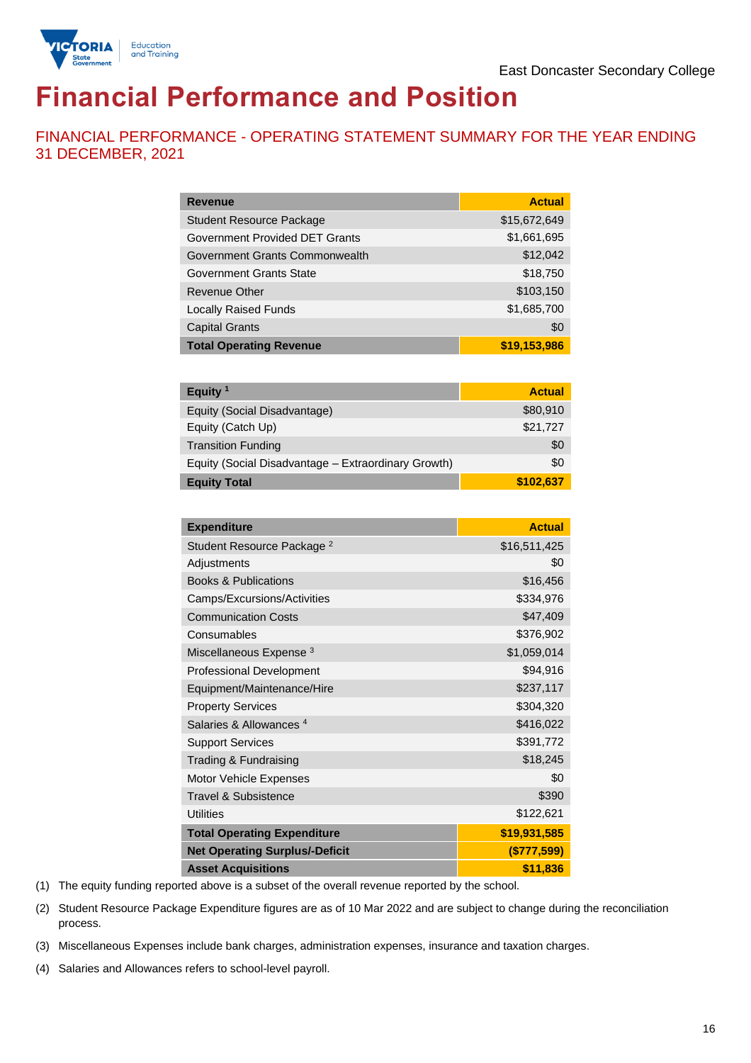



## **Financial Performance and Position**

FINANCIAL PERFORMANCE - OPERATING STATEMENT SUMMARY FOR THE YEAR ENDING 31 DECEMBER, 2021

| <b>Revenue</b>                  | <b>Actual</b> |
|---------------------------------|---------------|
| <b>Student Resource Package</b> | \$15,672,649  |
| Government Provided DET Grants  | \$1,661,695   |
| Government Grants Commonwealth  | \$12,042      |
| Government Grants State         | \$18,750      |
| Revenue Other                   | \$103,150     |
| <b>Locally Raised Funds</b>     | \$1,685,700   |
| <b>Capital Grants</b>           | \$0           |
| <b>Total Operating Revenue</b>  | \$19,153,986  |

| Equity $1$                                          | <b>Actual</b> |
|-----------------------------------------------------|---------------|
| Equity (Social Disadvantage)                        | \$80,910      |
| Equity (Catch Up)                                   | \$21,727      |
| <b>Transition Funding</b>                           | \$0           |
| Equity (Social Disadvantage - Extraordinary Growth) | \$0           |
| <b>Equity Total</b>                                 | \$102,637     |

| <b>Expenditure</b>                    | <b>Actual</b> |
|---------------------------------------|---------------|
| Student Resource Package <sup>2</sup> | \$16,511,425  |
| Adjustments                           | \$0           |
| <b>Books &amp; Publications</b>       | \$16,456      |
| Camps/Excursions/Activities           | \$334,976     |
| <b>Communication Costs</b>            | \$47,409      |
| Consumables                           | \$376,902     |
| Miscellaneous Expense <sup>3</sup>    | \$1,059,014   |
| <b>Professional Development</b>       | \$94,916      |
| Equipment/Maintenance/Hire            | \$237,117     |
| <b>Property Services</b>              | \$304,320     |
| Salaries & Allowances <sup>4</sup>    | \$416,022     |
| <b>Support Services</b>               | \$391,772     |
| Trading & Fundraising                 | \$18,245      |
| Motor Vehicle Expenses                | \$0           |
| <b>Travel &amp; Subsistence</b>       | \$390         |
| <b>Utilities</b>                      | \$122,621     |
| <b>Total Operating Expenditure</b>    | \$19,931,585  |
| <b>Net Operating Surplus/-Deficit</b> | (\$777,599)   |
| <b>Asset Acquisitions</b>             | \$11,836      |

(1) The equity funding reported above is a subset of the overall revenue reported by the school.

(2) Student Resource Package Expenditure figures are as of 10 Mar 2022 and are subject to change during the reconciliation process.

(3) Miscellaneous Expenses include bank charges, administration expenses, insurance and taxation charges.

(4) Salaries and Allowances refers to school-level payroll.